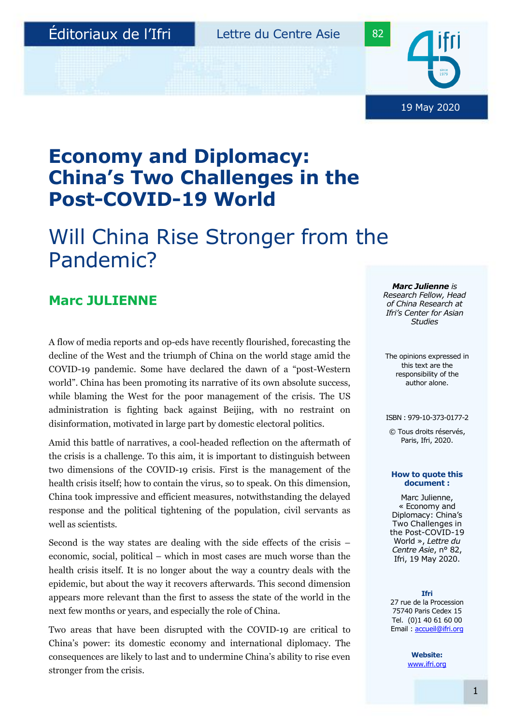19 May 2020

## **Economy and Diplomacy: China's Two Challenges in the Post-COVID-19 World**

# Will China Rise Stronger from the Pandemic?

## **Marc JULIENNE**

A flow of media reports and op-eds have recently flourished, forecasting the decline of the West and the triumph of China on the world stage amid the COVID-19 pandemic. Some have declared the dawn of a "post-Western world". China has been promoting its narrative of its own absolute success, while blaming the West for the poor management of the crisis. The US administration is fighting back against Beijing, with no restraint on disinformation, motivated in large part by domestic electoral politics.

Amid this battle of narratives, a cool-headed reflection on the aftermath of the crisis is a challenge. To this aim, it is important to distinguish between two dimensions of the COVID-19 crisis. First is the management of the health crisis itself; how to contain the virus, so to speak. On this dimension, China took impressive and efficient measures, notwithstanding the delayed response and the political tightening of the population, civil servants as well as scientists.

Second is the way states are dealing with the side effects of the crisis – economic, social, political – which in most cases are much worse than the health crisis itself. It is no longer about the way a country deals with the epidemic, but about the way it recovers afterwards. This second dimension appears more relevant than the first to assess the state of the world in the next few months or years, and especially the role of China.

Two areas that have been disrupted with the COVID-19 are critical to China's power: its domestic economy and international diplomacy. The consequences are likely to last and to undermine China's ability to rise even stronger from the crisis.

*Marc Julienne is Research Fellow, Head of China Research at Ifri's Center for Asian Studies*

The opinions expressed in this text are the responsibility of the author alone.

#### ISBN : 979-10-373-0177-2

© Tous droits réservés, Paris, Ifri, 2020.

#### **How to quote this document :**

Marc Julienne, « Economy and Diplomacy: China's Two Challenges in the Post-COVID-19 World », *Lettre du Centre Asie*, n° 82, Ifri, 19 May 2020.

**Ifri**  27 rue de la Procession 75740 Paris Cedex 15 Tel. (0)1 40 61 60 00 Email [: accueil@ifri.org](mailto:accueil@ifri.org)

> **Website:** [www.ifri.org](http://www.ifri.org/)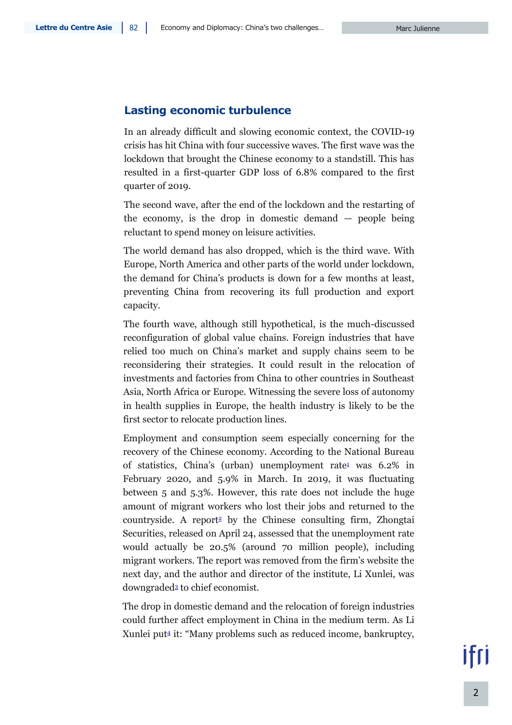### **Lasting economic turbulence**

In an already difficult and slowing economic context, the COVID-19 crisis has hit China with four successive waves. The first wave was the lockdown that brought the Chinese economy to a standstill. This has resulted in a first-quarter GDP loss of 6.8% compared to the first quarter of 2019.

The second wave, after the end of the lockdown and the restarting of the economy, is the drop in domestic demand — people being reluctant to spend money on leisure activities.

The world demand has also dropped, which is the third wave. With Europe, North America and other parts of the world under lockdown, the demand for China's products is down for a few months at least, preventing China from recovering its full production and export capacity.

The fourth wave, although still hypothetical, is the much-discussed reconfiguration of global value chains. Foreign industries that have relied too much on China's market and supply chains seem to be reconsidering their strategies. It could result in the relocation of investments and factories from China to other countries in Southeast Asia, North Africa or Europe. Witnessing the severe loss of autonomy in health supplies in Europe, the health industry is likely to be the first sector to relocate production lines.

Employment and consumption seem especially concerning for the recovery of the Chinese economy. According to the National Bureau of statistics, China's (urban) unemployment rate<sup>1</sup> was  $6.2\%$  in February 2020, and 5.9% in March. In 2019, it was fluctuating between 5 and 5.3%. However, this rate does not include the huge amount of migrant workers who lost their jobs and returned to the countryside. A report<sup>2</sup> by the Chinese consulting firm, Zhongtai Securities, released on April 24, assessed that the unemployment rate would actually be 20.5% (around 70 million people), including migrant workers. The report was removed from the firm's website the next day, and the author and director of the institute, Li Xunlei, was downgraded<sup>3</sup> to chief economist.

The drop in domestic demand and the relocation of foreign industries could further affect employment in China in the medium term. As Li Xunlei put<sup>4</sup> it: "Many problems such as reduced income, bankruptcy,

ifri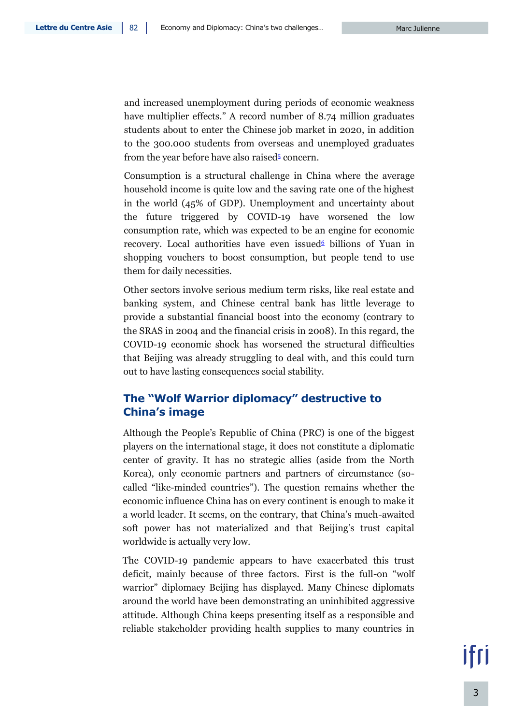and increased unemployment during periods of economic weakness have multiplier effects." A record number of 8.74 million graduates students about to enter the Chinese job market in 2020, in addition to the 300.000 students from overseas and unemployed graduates from the year before have also raised<sup>5</sup> concern.

Consumption is a structural challenge in China where the average household income is quite low and the saving rate one of the highest in the world (45% of GDP). Unemployment and uncertainty about the future triggered by COVID-19 have worsened the low consumption rate, which was expected to be an engine for economic recovery. Local authorities have even issued billions of Yuan in shopping vouchers to boost consumption, but people tend to use them for daily necessities.

Other sectors involve serious medium term risks, like real estate and banking system, and Chinese central bank has little leverage to provide a substantial financial boost into the economy (contrary to the SRAS in 2004 and the financial crisis in 2008). In this regard, the COVID-19 economic shock has worsened the structural difficulties that Beijing was already struggling to deal with, and this could turn out to have lasting consequences social stability.

### **The "Wolf Warrior diplomacy" destructive to China's image**

Although the People's Republic of China (PRC) is one of the biggest players on the international stage, it does not constitute a diplomatic center of gravity. It has no strategic allies (aside from the North Korea), only economic partners and partners of circumstance (socalled "like-minded countries"). The question remains whether the economic influence China has on every continent is enough to make it a world leader. It seems, on the contrary, that China's much-awaited soft power has not materialized and that Beijing's trust capital worldwide is actually very low.

The COVID-19 pandemic appears to have exacerbated this trust deficit, mainly because of three factors. First is the full-on "wolf warrior" diplomacy Beijing has displayed. Many Chinese diplomats around the world have been demonstrating an uninhibited aggressive attitude. Although China keeps presenting itself as a responsible and reliable stakeholder providing health supplies to many countries in

ifri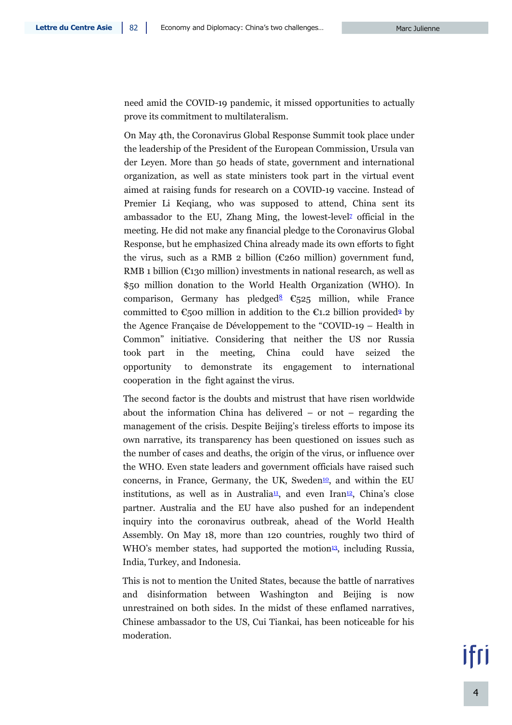need amid the COVID-19 pandemic, it missed opportunities to actually prove its commitment to multilateralism.

On May 4th, the Coronavirus Global Response Summit took place under the leadership of the President of the European Commission, Ursula van der Leyen. More than 50 heads of state, government and international organization, as well as state ministers took part in the virtual event aimed at raising funds for research on a COVID-19 vaccine. Instead of Premier Li Keqiang, who was supposed to attend, China sent its ambassador to the EU, Zhang Ming, the lowest-level<sup>2</sup> official in the meeting. He did not make any financial pledge to the Coronavirus Global Response, but he emphasized China already made its own efforts to fight the virus, such as a RMB 2 billion ( $E$ 260 million) government fund, RMB 1 billion ( $\epsilon$ 130 million) investments in national research, as well as \$50 million donation to the World Health Organization (WHO). In comparison, Germany has pledged<sup>8</sup>  $\mathbb{C}_5$ 25 million, while France committed to  $\mathfrak{C}_5$ 00 million in addition to the  $\mathfrak{C}_1$ . 2 billion provided<sup>9</sup> by the Agence Française de Développement to the "COVID-19 – Health in Common" initiative. Considering that neither the US nor Russia took part in the meeting, China could have seized the opportunity to demonstrate its engagement to international cooperation in the fight against the virus.

The second factor is the doubts and mistrust that have risen worldwide about the information China has delivered – or not – regarding the management of the crisis. Despite Beijing's tireless efforts to impose its own narrative, its transparency has been questioned on issues such as the number of cases and deaths, the origin of the virus, or influence over the WHO. Even state leaders and government officials have raised such concerns, in France, Germany, the UK, Sweden<sup>10</sup>, and within the EU institutions, as well as in Australia<sup>11</sup>, and even Iran<sup>12</sup>, China's close partner. Australia and the EU have also pushed for an independent inquiry into the coronavirus outbreak, ahead of the World Health Assembly. On May 18, more than 120 countries, roughly two third of WHO's member states, had supported the motion<sup>13</sup>, including Russia, India, Turkey, and Indonesia.

This is not to mention the United States, because the battle of narratives and disinformation between Washington and Beijing is now unrestrained on both sides. In the midst of these enflamed narratives, Chinese ambassador to the US, Cui Tiankai, has been noticeable for his moderation.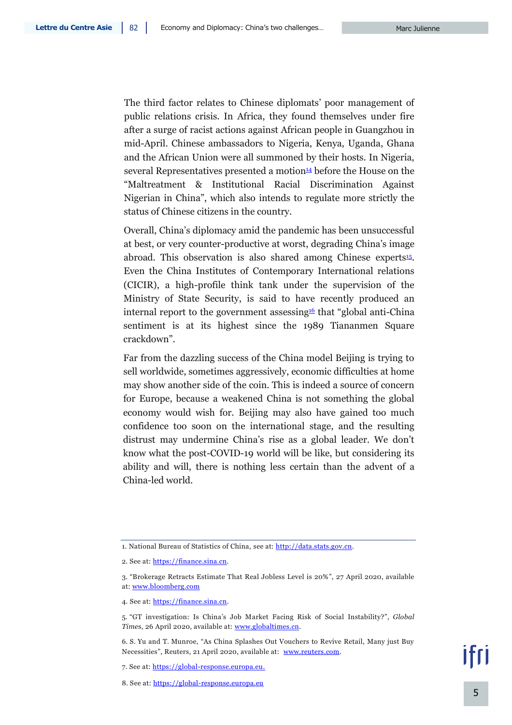The third factor relates to Chinese diplomats' poor management of public relations crisis. In Africa, they found themselves under fire after a surge of racist actions against African people in Guangzhou in mid-April. Chinese ambassadors to Nigeria, Kenya, Uganda, Ghana and the African Union were all summoned by their hosts. In Nigeria, several Representatives presented a motion $\frac{14}{4}$  before the House on the "Maltreatment & Institutional Racial Discrimination Against Nigerian in China", which also intends to regulate more strictly the status of Chinese citizens in the country.

Overall, China's diplomacy amid the pandemic has been unsuccessful at best, or very counter-productive at worst, degrading China's image abroad. This observation is also shared among Chinese experts<sup>15</sup>. Even the China Institutes of Contemporary International relations (CICIR), a high-profile think tank under the supervision of the Ministry of State Security, is said to have recently produced an internal report to the government assessing  $\mathfrak{g}_1$  that "global anti-China" sentiment is at its highest since the 1989 Tiananmen Square crackdown".

Far from the dazzling success of the China model Beijing is trying to sell worldwide, sometimes aggressively, economic difficulties at home may show another side of the coin. This is indeed a source of concern for Europe, because a weakened China is not something the global economy would wish for. Beijing may also have gained too much confidence too soon on the international stage, and the resulting distrust may undermine China's rise as a global leader. We don't know what the post-COVID-19 world will be like, but considering its ability and will, there is nothing less certain than the advent of a China-led world.

<sup>1.</sup> National Bureau of Statistics of China, see at[: http://data.stats.gov.cn.](http://data.stats.gov.cn/english/easyquery.htm?cn=A01)

<sup>2.</sup> See at[: https://finance.sina.cn.](https://finance.sina.cn/2020-04-26/detail-iircuyvh9832214.d.html)

<sup>3.</sup> "Brokerage Retracts Estimate That Real Jobless Level is 20%", 27 April 2020, available at: [www.bloomberg.com](https://www.bloomberg.com/news/articles/2020-04-27/china-brokerage-retracts-estimate-that-real-jobless-level-is-20?sref=6ZE6q2XR)

<sup>4.</sup> See at[: https://finance.sina.cn.](https://finance.sina.cn/2020-04-26/detail-iircuyvh9832214.d.html)

<sup>5.</sup> "GT investigation: Is China's Job Market Facing Risk of Social Instability?", *Global Time*s, 26 April 2020, available at: [www.globaltimes.cn.](https://www.globaltimes.cn/content/1186821.shtml)

<sup>6.</sup> S. Yu and T. Munroe, "As China Splashes Out Vouchers to Revive Retail, Many just Buy Necessities", Reuters, 21 April 2020, available at: [www.reuters.com.](https://www.reuters.com/article/us-health-coronavirus-china-retail/as-china-splashes-out-vouchers-to-revive-retail-many-just-buy-necessities-idUSKBN2230SI)

<sup>7.</sup> See at: [https://global-response.europa.eu.](https://global-response.europa.eu/programme_en)

<sup>8.</sup> See at: [https://global-response.europa.eu](https://global-response.europa.eu/pledge_en)